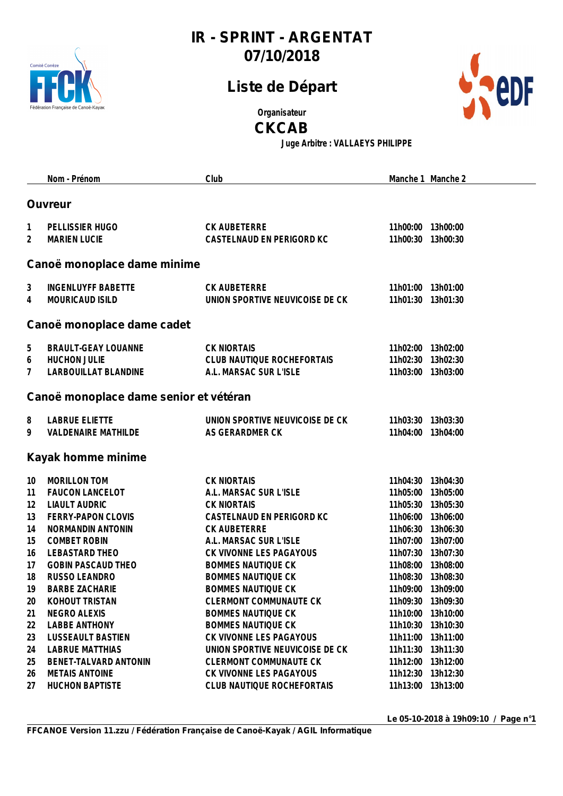

## **Liste de Départ**



**Organisateur**

**CKCAB**

**Juge Arbitre : VALLAEYS PHILIPPE**

|    | Nom - Prénom                           | Club                            |                   | Manche 1 Manche 2 |
|----|----------------------------------------|---------------------------------|-------------------|-------------------|
|    |                                        |                                 |                   |                   |
|    | <b>Ouvreur</b>                         |                                 |                   |                   |
| 1  | PELLISSIER HUGO                        | CK AUBETERRE                    | 11h00:00 13h00:00 |                   |
| 2  | <b>MARIEN LUCIE</b>                    | CASTELNAUD EN PERIGORD KC       | 11h00:30 13h00:30 |                   |
|    |                                        |                                 |                   |                   |
|    | Canoë monoplace dame minime            |                                 |                   |                   |
| 3  | <b>INGENLUYFF BABETTE</b>              | CK AUBETERRE                    | 11h01:00 13h01:00 |                   |
| 4  | MOURICAUD ISILD                        | UNION SPORTIVE NEUVICOISE DE CK | 11h01:30 13h01:30 |                   |
|    | Canoë monoplace dame cadet             |                                 |                   |                   |
| 5  | BRAULT-GEAY LOUANNE                    | <b>CK NIORTAIS</b>              | 11h02:00 13h02:00 |                   |
| 6  | <b>HUCHON JULIE</b>                    | CLUB NAUTIQUE ROCHEFORTAIS      | 11h02:30 13h02:30 |                   |
| 7  | LARBOUILLAT BLANDINE                   | A.L. MARSAC SUR L'ISLE          | 11h03:00 13h03:00 |                   |
|    |                                        |                                 |                   |                   |
|    | Canoë monoplace dame senior et vétéran |                                 |                   |                   |
| 8  | <b>LABRUE ELIETTE</b>                  | UNION SPORTIVE NEUVICOISE DE CK | 11h03:30 13h03:30 |                   |
| 9  | <b>VALDENAIRE MATHILDE</b>             | AS GERARDMER CK                 | 11h04:00 13h04:00 |                   |
|    | Kayak homme minime                     |                                 |                   |                   |
| 10 | <b>MORILLON TOM</b>                    | <b>CK NIORTAIS</b>              | 11h04:30 13h04:30 |                   |
| 11 | <b>FAUCON LANCELOT</b>                 | A.L. MARSAC SUR L'ISLE          | 11h05:00 13h05:00 |                   |
| 12 | <b>LIAULT AUDRIC</b>                   | <b>CK NIORTAIS</b>              | 11h05:30 13h05:30 |                   |
| 13 | FERRY-PAPON CLOVIS                     | CASTELNAUD EN PERIGORD KC       | 11h06:00 13h06:00 |                   |
| 14 | NORMANDIN ANTONIN                      | CK AUBETERRE                    | 11h06:30 13h06:30 |                   |
| 15 | <b>COMBET ROBIN</b>                    | A.L. MARSAC SUR L'ISLE          | 11h07:00 13h07:00 |                   |
| 16 | LEBASTARD THEO                         | CK VIVONNE LES PAGAYOUS         | 11h07:30 13h07:30 |                   |
| 17 | <b>GOBIN PASCAUD THEO</b>              | <b>BOMMES NAUTIQUE CK</b>       | 11h08:00 13h08:00 |                   |
| 18 | RUSSO LEANDRO                          | <b>BOMMES NAUTIQUE CK</b>       | 11h08:30 13h08:30 |                   |
| 19 | <b>BARBE ZACHARIE</b>                  | <b>BOMMES NAUTIQUE CK</b>       | 11h09:00 13h09:00 |                   |
| 20 | KOHOUT TRISTAN                         | <b>CLERMONT COMMUNAUTE CK</b>   | 11h09:30          | 13h09:30          |
| 21 | NEGRO ALEXIS                           | <b>BOMMES NAUTIQUE CK</b>       | 11h10:00          | 13h10:00          |
| 22 | <b>LABBE ANTHONY</b>                   | <b>BOMMES NAUTIQUE CK</b>       | 11h10:30          | 13h10:30          |
| 23 | <b>LUSSEAULT BASTIEN</b>               | CK VIVONNE LES PAGAYOUS         |                   | 11h11:00 13h11:00 |
| 24 | <b>LABRUE MATTHIAS</b>                 | UNION SPORTIVE NEUVICOISE DE CK | 11h11:30          | 13h11:30          |
| 25 | BENET-TALVARD ANTONIN                  | <b>CLERMONT COMMUNAUTE CK</b>   | 11h12:00 13h12:00 |                   |
| 26 | <b>METAIS ANTOINE</b>                  | CK VIVONNE LES PAGAYOUS         | 11h12:30 13h12:30 |                   |
| 27 | <b>HUCHON BAPTISTE</b>                 | CLUB NAUTIQUE ROCHEFORTAIS      |                   | 11h13:00 13h13:00 |

**Le 05-10-2018 à 19h09:10 / Page n°1**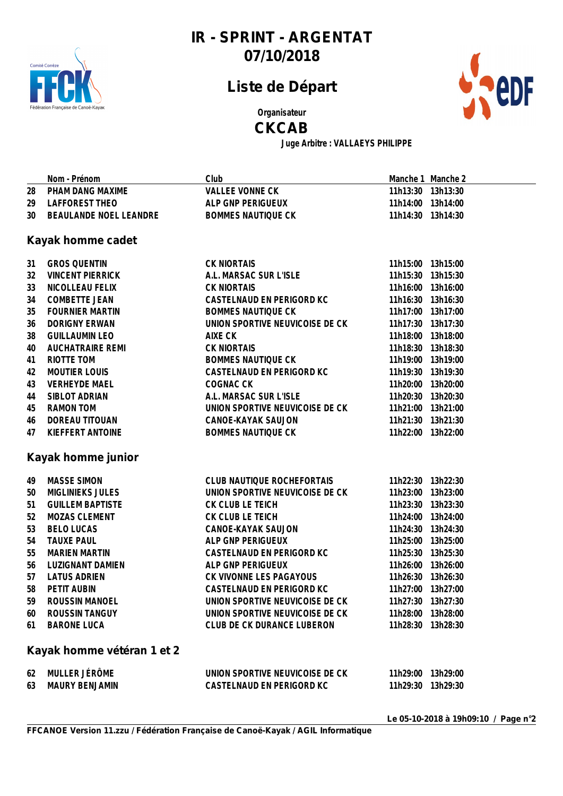

## **Liste de Départ**



**Organisateur**

#### **CKCAB**

**Juge Arbitre : VALLAEYS PHILIPPE**

|    | Nom - Prénom               | Club                            |                   | Manche 1 Manche 2 |
|----|----------------------------|---------------------------------|-------------------|-------------------|
| 28 | PHAM DANG MAXIME           | <b>VALLEE VONNE CK</b>          |                   | 11h13:30 13h13:30 |
| 29 | LAFFOREST THEO             | ALP GNP PERIGUEUX               |                   | 11h14:00 13h14:00 |
| 30 | BEAULANDE NOEL LEANDRE     | <b>BOMMES NAUTIQUE CK</b>       |                   | 11h14:30 13h14:30 |
|    |                            |                                 |                   |                   |
|    | Kayak homme cadet          |                                 |                   |                   |
| 31 | <b>GROS QUENTIN</b>        | <b>CK NIORTAIS</b>              |                   | 11h15:00 13h15:00 |
| 32 | <b>VINCENT PIERRICK</b>    | A.L. MARSAC SUR L'ISLE          |                   | 11h15:30 13h15:30 |
| 33 | NICOLLEAU FELIX            | <b>CK NIORTAIS</b>              |                   | 11h16:00 13h16:00 |
| 34 | <b>COMBETTE JEAN</b>       | CASTELNAUD EN PERIGORD KC       |                   | 11h16:30 13h16:30 |
| 35 | <b>FOURNIER MARTIN</b>     | <b>BOMMES NAUTIQUE CK</b>       |                   | 11h17:00 13h17:00 |
| 36 | <b>DORIGNY ERWAN</b>       | UNION SPORTIVE NEUVICOISE DE CK |                   | 11h17:30 13h17:30 |
| 38 | <b>GUILLAUMIN LEO</b>      | AIXE CK                         |                   | 11h18:00 13h18:00 |
| 40 | <b>AUCHATRAIRE REMI</b>    | <b>CK NIORTAIS</b>              |                   | 11h18:30 13h18:30 |
| 41 | RIOTTE TOM                 | <b>BOMMES NAUTIQUE CK</b>       |                   | 11h19:00 13h19:00 |
| 42 | <b>MOUTIER LOUIS</b>       | CASTELNAUD EN PERIGORD KC       |                   | 11h19:30 13h19:30 |
| 43 | <b>VERHEYDE MAEL</b>       | COGNAC CK                       |                   | 11h20:00 13h20:00 |
| 44 | SIBLOT ADRIAN              | A.L. MARSAC SUR L'ISLE          |                   | 11h20:30 13h20:30 |
| 45 | RAMON TOM                  | UNION SPORTIVE NEUVICOISE DE CK |                   | 11h21:00 13h21:00 |
| 46 | DOREAU TITOUAN             | CANOE-KAYAK SAUJON              |                   | 11h21:30 13h21:30 |
| 47 | KIEFFERT ANTOINE           | <b>BOMMES NAUTIQUE CK</b>       |                   | 11h22:00 13h22:00 |
|    | Kayak homme junior         |                                 |                   |                   |
|    |                            |                                 |                   |                   |
| 49 | <b>MASSE SIMON</b>         | CLUB NAUTIQUE ROCHEFORTAIS      | 11h22:30 13h22:30 |                   |
| 50 | <b>MIGLINIEKS JULES</b>    | UNION SPORTIVE NEUVICOISE DE CK |                   | 11h23:00 13h23:00 |
| 51 | <b>GUILLEM BAPTISTE</b>    | CK CLUB LE TEICH                |                   | 11h23:30 13h23:30 |
| 52 | MOZAS CLEMENT              | CK CLUB LE TEICH                |                   | 11h24:00 13h24:00 |
| 53 | <b>BELO LUCAS</b>          | CANOE-KAYAK SAUJON              |                   | 11h24:30 13h24:30 |
| 54 | <b>TAUXE PAUL</b>          | ALP GNP PERIGUEUX               | 11h25:00 13h25:00 |                   |
| 55 | <b>MARIEN MARTIN</b>       | CASTELNAUD EN PERIGORD KC       | 11h25:30 13h25:30 |                   |
| 56 | LUZIGNANT DAMIEN           | ALP GNP PERIGUEUX               |                   | 11h26:00 13h26:00 |
| 57 | <b>LATUS ADRIEN</b>        | CK VIVONNE LES PAGAYOUS         |                   | 11h26:30 13h26:30 |
| 58 | PETIT AUBIN                | CASTELNAUD EN PERIGORD KC       |                   | 11h27:00 13h27:00 |
| 59 | <b>ROUSSIN MANOEL</b>      | UNION SPORTIVE NEUVICOISE DE CK | 11h27:30 13h27:30 |                   |
| 60 | ROUSSIN TANGUY             | UNION SPORTIVE NEUVICOISE DE CK |                   | 11h28:00 13h28:00 |
| 61 | <b>BARONE LUCA</b>         | CLUB DE CK DURANCE LUBERON      |                   | 11h28:30 13h28:30 |
|    | Kayak homme vétéran 1 et 2 |                                 |                   |                   |
| 62 | MULLER JÉRÔME              | UNION SPORTIVE NEUVICOISE DE CK |                   | 11h29:00 13h29:00 |
| 63 | <b>MAURY BENJAMIN</b>      | CASTELNAUD EN PERIGORD KC       | 11h29:30 13h29:30 |                   |
|    |                            |                                 |                   |                   |

**Le 05-10-2018 à 19h09:10 / Page n°2**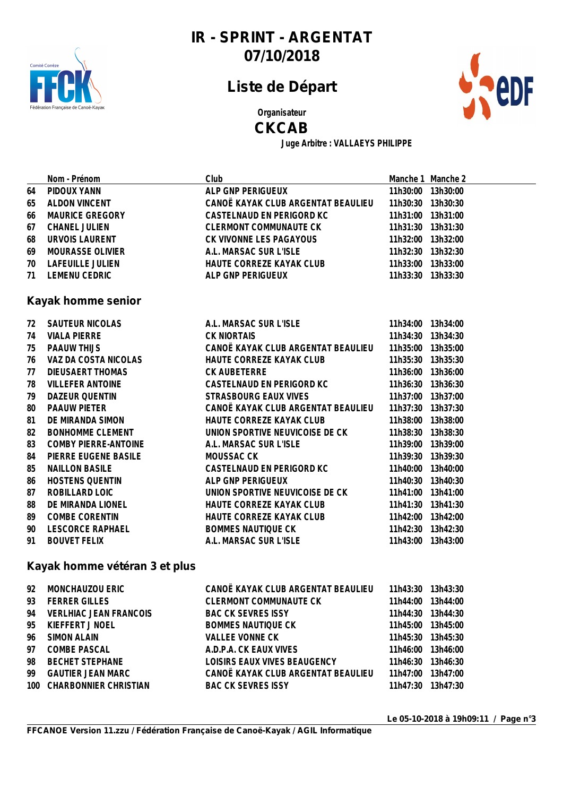

# **Liste de Départ**



**Organisateur**

#### **CKCAB**

**Juge Arbitre : VALLAEYS PHILIPPE**

|     | Nom - Prénom                  | Club                                                 |                   | Manche 1 Manche 2 |  |  |
|-----|-------------------------------|------------------------------------------------------|-------------------|-------------------|--|--|
| 64  | PIDOUX YANN                   | ALP GNP PERIGUEUX                                    |                   | 11h30:00 13h30:00 |  |  |
| 65  | <b>ALDON VINCENT</b>          | CANOË KAYAK CLUB ARGENTAT BEAULIEU                   | 11h30:30          | 13h30:30          |  |  |
| 66  | MAURICE GREGORY               | CASTELNAUD EN PERIGORD KC                            | 11h31:00          | 13h31:00          |  |  |
| 67  | <b>CHANEL JULIEN</b>          | <b>CLERMONT COMMUNAUTE CK</b>                        | 11h31:30          | 13h31:30          |  |  |
| 68  | URVOIS LAURENT                | CK VIVONNE LES PAGAYOUS                              |                   | 11h32:00 13h32:00 |  |  |
| 69  | MOURASSE OLIVIER              | A.L. MARSAC SUR L'ISLE                               |                   | 11h32:30 13h32:30 |  |  |
| 70  | LAFEUILLE JULIEN              | HAUTE CORREZE KAYAK CLUB                             |                   | 11h33:00 13h33:00 |  |  |
| 71  | <b>LEMENU CEDRIC</b>          | ALP GNP PERIGUEUX                                    | 11h33:30 13h33:30 |                   |  |  |
|     |                               |                                                      |                   |                   |  |  |
|     | Kayak homme senior            |                                                      |                   |                   |  |  |
| 72  | SAUTEUR NICOLAS               | A.L. MARSAC SUR L'ISLE                               |                   | 11h34:00 13h34:00 |  |  |
| 74  | <b>VIALA PIERRE</b>           | <b>CK NIORTAIS</b>                                   |                   | 11h34:30 13h34:30 |  |  |
| 75  | PAAUW THIJS                   | CANOË KAYAK CLUB ARGENTAT BEAULIEU                   |                   | 11h35:00 13h35:00 |  |  |
| 76  | VAZ DA COSTA NICOLAS          | HAUTE CORREZE KAYAK CLUB                             |                   | 11h35:30 13h35:30 |  |  |
| 77  | DIEUSAERT THOMAS              | CK AUBETERRE                                         |                   | 11h36:00 13h36:00 |  |  |
| 78  | <b>VILLEFER ANTOINE</b>       | CASTELNAUD EN PERIGORD KC                            | 11h36:30          | 13h36:30          |  |  |
| 79  | DAZEUR QUENTIN                | STRASBOURG EAUX VIVES                                | 11h37:00          | 13h37:00          |  |  |
| 80  | PAAUW PIETER                  | CANOË KAYAK CLUB ARGENTAT BEAULIEU                   |                   | 11h37:30 13h37:30 |  |  |
| 81  | DE MIRANDA SIMON              | HAUTE CORREZE KAYAK CLUB                             |                   | 11h38:00 13h38:00 |  |  |
| 82  | <b>BONHOMME CLEMENT</b>       | UNION SPORTIVE NEUVICOISE DE CK                      |                   | 11h38:30 13h38:30 |  |  |
| 83  | COMBY PIERRE-ANTOINE          | A.L. MARSAC SUR L'ISLE                               |                   | 11h39:00 13h39:00 |  |  |
| 84  | PIERRE EUGENE BASILE          | MOUSSAC CK                                           |                   | 11h39:30 13h39:30 |  |  |
| 85  | <b>NAILLON BASILE</b>         | CASTELNAUD EN PERIGORD KC                            |                   | 11h40:00 13h40:00 |  |  |
| 86  | HOSTENS QUENTIN               | ALP GNP PERIGUEUX                                    | 11h40:30          | 13h40:30          |  |  |
| 87  | ROBILLARD LOIC                | UNION SPORTIVE NEUVICOISE DE CK                      | 11h41:00          | 13h41:00          |  |  |
| 88  | DE MIRANDA LIONEL             | HAUTE CORREZE KAYAK CLUB                             |                   | 11h41:30 13h41:30 |  |  |
| 89  | COMBE CORENTIN                | HAUTE CORREZE KAYAK CLUB                             |                   | 11h42:00 13h42:00 |  |  |
| 90  | LESCORCE RAPHAEL              | <b>BOMMES NAUTIQUE CK</b>                            |                   | 11h42:30 13h42:30 |  |  |
| 91  | <b>BOUVET FELIX</b>           | A.L. MARSAC SUR L'ISLE                               |                   | 11h43:00 13h43:00 |  |  |
|     |                               |                                                      |                   |                   |  |  |
|     | Kayak homme vétéran 3 et plus |                                                      |                   |                   |  |  |
| 92  | MONCHAUZOU ERIC               | CANOË KAYAK CLUB ARGENTAT BEAULIEU 11h43:30 13h43:30 |                   |                   |  |  |
| 93  | <b>FERRER GILLES</b>          | <b>CLERMONT COMMUNAUTE CK</b>                        |                   | 11h44:00 13h44:00 |  |  |
| 94  | <b>VERLHIAC JEAN FRANCOIS</b> | <b>BAC CK SEVRES ISSY</b>                            | 11h44:30          | 13h44:30          |  |  |
| 95  | KIEFFERT J NOEL               | <b>BOMMES NAUTIQUE CK</b>                            |                   | 11h45:00 13h45:00 |  |  |
| 96  | <b>SIMON ALAIN</b>            | <b>VALLEE VONNE CK</b>                               |                   | 11h45:30 13h45:30 |  |  |
| 97  | <b>COMBE PASCAL</b>           | A.D.P.A. CK EAUX VIVES                               |                   | 11h46:00 13h46:00 |  |  |
| 98  | <b>BECHET STEPHANE</b>        | LOISIRS EAUX VIVES BEAUGENCY                         | 11h46:30          | 13h46:30          |  |  |
| 99  | <b>GAUTIER JEAN MARC</b>      | CANOË KAYAK CLUB ARGENTAT BEAULIEU                   |                   | 11h47:00 13h47:00 |  |  |
| 100 | CHARBONNIER CHRISTIAN         | <b>BAC CK SEVRES ISSY</b>                            |                   | 11h47:30 13h47:30 |  |  |
|     |                               |                                                      |                   |                   |  |  |
|     |                               |                                                      |                   |                   |  |  |

**Le 05-10-2018 à 19h09:11 / Page n°3**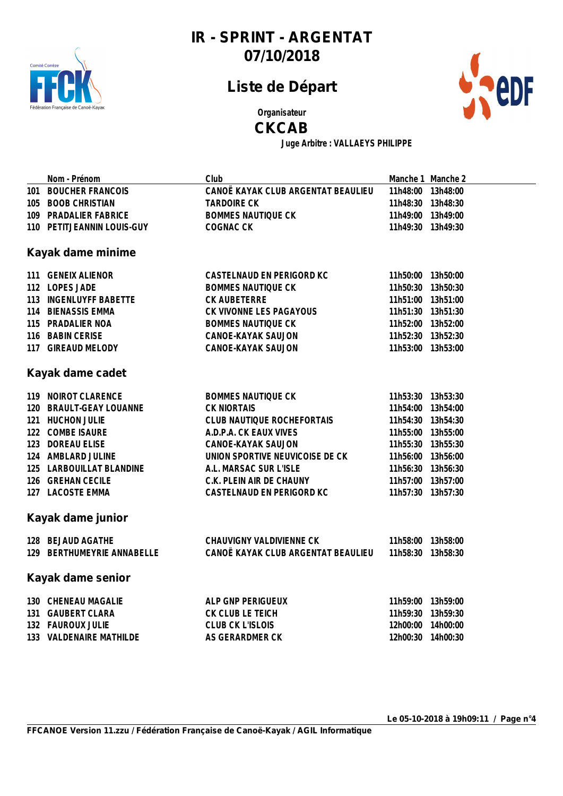

## **Liste de Départ**



**Organisateur**

#### **CKCAB**

**Juge Arbitre : VALLAEYS PHILIPPE**

|                   | Nom - Prénom               | Club                               |                   | Manche 1 Manche 2 |  |
|-------------------|----------------------------|------------------------------------|-------------------|-------------------|--|
|                   | 101 BOUCHER FRANCOIS       | CANOË KAYAK CLUB ARGENTAT BEAULIEU | 11h48:00 13h48:00 |                   |  |
|                   | 105 BOOB CHRISTIAN         | <b>TARDOIRE CK</b>                 | 11h48:30 13h48:30 |                   |  |
|                   | 109 PRADALIER FABRICE      | <b>BOMMES NAUTIQUE CK</b>          | 11h49:00 13h49:00 |                   |  |
|                   | 110 PETITJEANNIN LOUIS-GUY | COGNAC CK                          | 11h49:30 13h49:30 |                   |  |
|                   |                            |                                    |                   |                   |  |
|                   | Kayak dame minime          |                                    |                   |                   |  |
|                   | 111 GENEIX ALIENOR         | CASTELNAUD EN PERIGORD KC          | 11h50:00 13h50:00 |                   |  |
|                   | 112 LOPES JADE             | <b>BOMMES NAUTIQUE CK</b>          | 11h50:30 13h50:30 |                   |  |
|                   | 113 INGENLUYFF BABETTE     | CK AUBETERRE                       | 11h51:00 13h51:00 |                   |  |
|                   | 114 BIENASSIS EMMA         | CK VIVONNE LES PAGAYOUS            | 11h51:30 13h51:30 |                   |  |
|                   | 115 PRADALIER NOA          | <b>BOMMES NAUTIQUE CK</b>          | 11h52:00 13h52:00 |                   |  |
|                   | 116 BABIN CERISE           | CANOE-KAYAK SAUJON                 | 11h52:30 13h52:30 |                   |  |
|                   | 117 GIREAUD MELODY         | CANOE-KAYAK SAUJON                 | 11h53:00 13h53:00 |                   |  |
|                   |                            |                                    |                   |                   |  |
|                   | Kayak dame cadet           |                                    |                   |                   |  |
|                   | 119 NOIROT CLARENCE        | <b>BOMMES NAUTIQUE CK</b>          | 11h53:30 13h53:30 |                   |  |
|                   | 120 BRAULT-GEAY LOUANNE    | <b>CK NIORTAIS</b>                 | 11h54:00 13h54:00 |                   |  |
|                   | 121 HUCHON JULIE           | CLUB NAUTIQUE ROCHEFORTAIS         | 11h54:30 13h54:30 |                   |  |
|                   | 122 COMBE ISAURE           | A.D.P.A. CK EAUX VIVES             | 11h55:00 13h55:00 |                   |  |
|                   | 123 DOREAU ELISE           | CANOE-KAYAK SAUJON                 | 11h55:30 13h55:30 |                   |  |
|                   | 124 AMBLARD JULINE         | UNION SPORTIVE NEUVICOISE DE CK    | 11h56:00 13h56:00 |                   |  |
|                   | 125 LARBOUILLAT BLANDINE   | A.L. MARSAC SUR L'ISLE             | 11h56:30 13h56:30 |                   |  |
|                   | 126 GREHAN CECILE          | C.K. PLEIN AIR DE CHAUNY           | 11h57:00 13h57:00 |                   |  |
|                   | 127 LACOSTE EMMA           | CASTELNAUD EN PERIGORD KC          | 11h57:30 13h57:30 |                   |  |
|                   | Kayak dame junior          |                                    |                   |                   |  |
|                   |                            |                                    |                   |                   |  |
|                   | 128 BEJAUD AGATHE          | CHAUVIGNY VALDIVIENNE CK           | 11h58:00 13h58:00 |                   |  |
|                   | 129 BERTHUMEYRIE ANNABELLE | CANOË KAYAK CLUB ARGENTAT BEAULIEU | 11h58:30 13h58:30 |                   |  |
| Kayak dame senior |                            |                                    |                   |                   |  |
|                   | 130 CHENEAU MAGALIE        | ALP GNP PERIGUEUX                  | 11h59:00 13h59:00 |                   |  |
|                   | 131 GAUBERT CLARA          | CK CLUB LE TEICH                   | 11h59:30 13h59:30 |                   |  |
|                   | 132 FAUROUX JULIE          | CLUB CK L'ISLOIS                   | 12h00:00 14h00:00 |                   |  |
|                   | 133 VALDENAIRE MATHILDE    | AS GERARDMER CK                    | 12h00:30 14h00:30 |                   |  |
|                   |                            |                                    |                   |                   |  |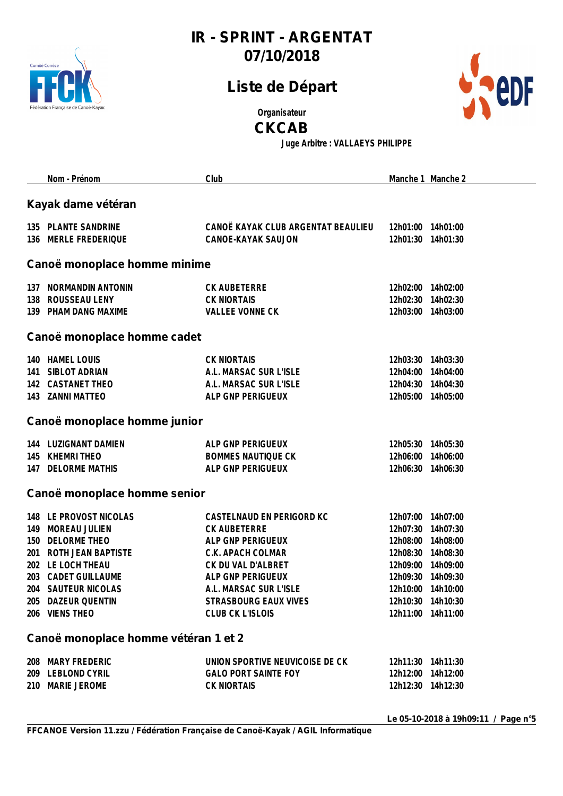

## **Liste de Départ**



**Organisateur**

**CKCAB**

**Juge Arbitre : VALLAEYS PHILIPPE**

|            | Nom - Prénom                                                                                                                                                                                 | Club                                                                                                                                                                                                         |                                                          | Manche 1 Manche 2                                                                                                                            |  |  |  |
|------------|----------------------------------------------------------------------------------------------------------------------------------------------------------------------------------------------|--------------------------------------------------------------------------------------------------------------------------------------------------------------------------------------------------------------|----------------------------------------------------------|----------------------------------------------------------------------------------------------------------------------------------------------|--|--|--|
|            | Kayak dame vétéran                                                                                                                                                                           |                                                                                                                                                                                                              |                                                          |                                                                                                                                              |  |  |  |
|            | 135 PLANTE SANDRINE<br>136 MERLE FREDERIQUE                                                                                                                                                  | CANOË KAYAK CLUB ARGENTAT BEAULIEU<br>CANOE-KAYAK SAUJON                                                                                                                                                     | 12h01:30                                                 | 12h01:00 14h01:00<br>14h01:30                                                                                                                |  |  |  |
|            | Canoë monoplace homme minime                                                                                                                                                                 |                                                                                                                                                                                                              |                                                          |                                                                                                                                              |  |  |  |
|            | 137 NORMANDIN ANTONIN<br>138 ROUSSEAU LENY<br>139 PHAM DANG MAXIME                                                                                                                           | CK AUBETERRE<br><b>CK NIORTAIS</b><br><b>VALLEE VONNE CK</b>                                                                                                                                                 |                                                          | 12h02:00 14h02:00<br>12h02:30 14h02:30<br>12h03:00 14h03:00                                                                                  |  |  |  |
|            | Canoë monoplace homme cadet                                                                                                                                                                  |                                                                                                                                                                                                              |                                                          |                                                                                                                                              |  |  |  |
| 141        | 140 HAMEL LOUIS<br>SIBLOT ADRIAN<br>142 CASTANET THEO<br>143 ZANNI MATTEO                                                                                                                    | <b>CK NIORTAIS</b><br>A.L. MARSAC SUR L'ISLE<br>A.L. MARSAC SUR L'ISLE<br>ALP GNP PERIGUEUX                                                                                                                  | 12h04:00                                                 | 12h03:30 14h03:30<br>14h04:00<br>12h04:30 14h04:30<br>12h05:00 14h05:00                                                                      |  |  |  |
|            | Canoë monoplace homme junior                                                                                                                                                                 |                                                                                                                                                                                                              |                                                          |                                                                                                                                              |  |  |  |
|            | 144 LUZIGNANT DAMIEN<br>145 KHEMRI THEO<br>147 DELORME MATHIS                                                                                                                                | ALP GNP PERIGUEUX<br><b>BOMMES NAUTIQUE CK</b><br>ALP GNP PERIGUEUX                                                                                                                                          | 12h06:00                                                 | 12h05:30 14h05:30<br>14h06:00<br>12h06:30 14h06:30                                                                                           |  |  |  |
|            | Canoë monoplace homme senior                                                                                                                                                                 |                                                                                                                                                                                                              |                                                          |                                                                                                                                              |  |  |  |
| 149<br>150 | 148 LE PROVOST NICOLAS<br>MOREAU JULIEN<br>DELORME THEO<br>201 ROTH JEAN BAPTISTE<br>202 LE LOCH THEAU<br>203 CADET GUILLAUME<br>204 SAUTEUR NICOLAS<br>205 DAZEUR QUENTIN<br>206 VIENS THEO | CASTELNAUD EN PERIGORD KC<br>CK AUBETERRE<br>ALP GNP PERIGUEUX<br>C.K. APACH COLMAR<br>CK DU VAL D'ALBRET<br>ALP GNP PERIGUEUX<br>A.L. MARSAC SUR L'ISLE<br>STRASBOURG EAUX VIVES<br><b>CLUB CK L'ISLOIS</b> | 12h07:00<br>12h07:30<br>12h08:30<br>12h09:00<br>12h09:30 | 14h07:00<br>14h07:30<br>12h08:00 14h08:00<br>14h08:30<br>14h09:00<br>14h09:30<br>12h10:00 14h10:00<br>12h10:30 14h10:30<br>12h11:00 14h11:00 |  |  |  |
|            | Canoë monoplace homme vétéran 1 et 2                                                                                                                                                         |                                                                                                                                                                                                              |                                                          |                                                                                                                                              |  |  |  |
|            | 208 MARY FREDERIC<br>209 LEBLOND CYRIL<br>210 MARIE JEROME                                                                                                                                   | UNION SPORTIVE NEUVICOISE DE CK<br><b>GALO PORT SAINTE FOY</b><br><b>CK NIORTAIS</b>                                                                                                                         |                                                          | 12h11:30 14h11:30<br>12h12:00 14h12:00<br>12h12:30 14h12:30                                                                                  |  |  |  |
|            |                                                                                                                                                                                              |                                                                                                                                                                                                              |                                                          | $I \circ \Omega$ $I \circ \Omega$ $I \circ \Omega$ $I \circ I \circ \Omega$                                                                  |  |  |  |

**Le 05-10-2018 à 19h09:11 / Page n°5**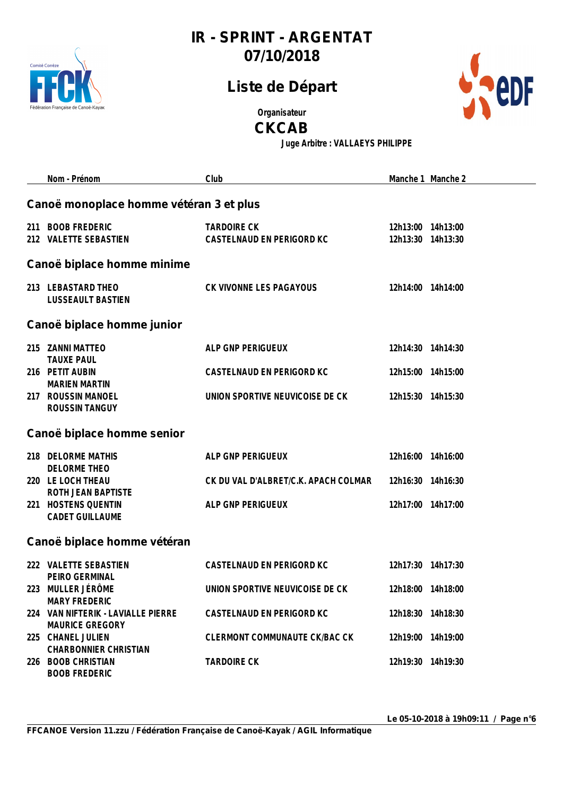

## **Liste de Départ**



**Organisateur**

**CKCAB**

**Juge Arbitre : VALLAEYS PHILIPPE**

|                             | Nom - Prénom                                                               | Club                                            | Manche 1 Manche 2                      |  |  |
|-----------------------------|----------------------------------------------------------------------------|-------------------------------------------------|----------------------------------------|--|--|
|                             | Canoë monoplace homme vétéran 3 et plus                                    |                                                 |                                        |  |  |
| 211                         | <b>BOOB FREDERIC</b><br>212 VALETTE SEBASTIEN                              | <b>TARDOIRE CK</b><br>CASTELNAUD EN PERIGORD KC | 12h13:00 14h13:00<br>12h13:30 14h13:30 |  |  |
|                             | Canoë biplace homme minime                                                 |                                                 |                                        |  |  |
|                             | 213 LEBASTARD THEO<br><b>LUSSEAULT BASTIEN</b>                             | CK VIVONNE LES PAGAYOUS                         | 12h14:00 14h14:00                      |  |  |
|                             | Canoë biplace homme junior                                                 |                                                 |                                        |  |  |
|                             | 215 ZANNI MATTEO                                                           | ALP GNP PERIGUEUX                               | 12h14:30 14h14:30                      |  |  |
|                             | <b>TAUXE PAUL</b><br>216 PETIT AUBIN                                       | CASTELNAUD EN PERIGORD KC                       | 12h15:00 14h15:00                      |  |  |
|                             | <b>MARIEN MARTIN</b><br>217 ROUSSIN MANOEL<br><b>ROUSSIN TANGUY</b>        | UNION SPORTIVE NEUVICOISE DE CK                 | 12h15:30 14h15:30                      |  |  |
|                             | Canoë biplace homme senior                                                 |                                                 |                                        |  |  |
|                             | 218 DELORME MATHIS                                                         | ALP GNP PERIGUEUX                               | 12h16:00 14h16:00                      |  |  |
|                             | <b>DELORME THEO</b><br>220 LE LOCH THEAU<br>ROTH JEAN BAPTISTE             | CK DU VAL D'ALBRET/C.K. APACH COLMAR            | 12h16:30 14h16:30                      |  |  |
|                             | 221 HOSTENS QUENTIN<br><b>CADET GUILLAUME</b>                              | ALP GNP PERIGUEUX                               | 12h17:00 14h17:00                      |  |  |
| Canoë biplace homme vétéran |                                                                            |                                                 |                                        |  |  |
|                             | 222 VALETTE SEBASTIEN                                                      | CASTELNAUD EN PERIGORD KC                       | 12h17:30 14h17:30                      |  |  |
|                             | PEIRO GERMINAL<br>223 MULLER JÉRÔME                                        | UNION SPORTIVE NEUVICOISE DE CK                 | 12h18:00 14h18:00                      |  |  |
|                             | <b>MARY FREDERIC</b><br>224 VAN NIFTERIK - LAVIALLE PIERRE                 | CASTELNAUD EN PERIGORD KC                       | 12h18:30 14h18:30                      |  |  |
|                             | <b>MAURICE GREGORY</b><br>225 CHANEL JULIEN                                | CLERMONT COMMUNAUTE CK/BAC CK                   | 12h19:00 14h19:00                      |  |  |
|                             | <b>CHARBONNIER CHRISTIAN</b><br>226 BOOB CHRISTIAN<br><b>BOOB FREDERIC</b> | <b>TARDOIRE CK</b>                              | 12h19:30 14h19:30                      |  |  |